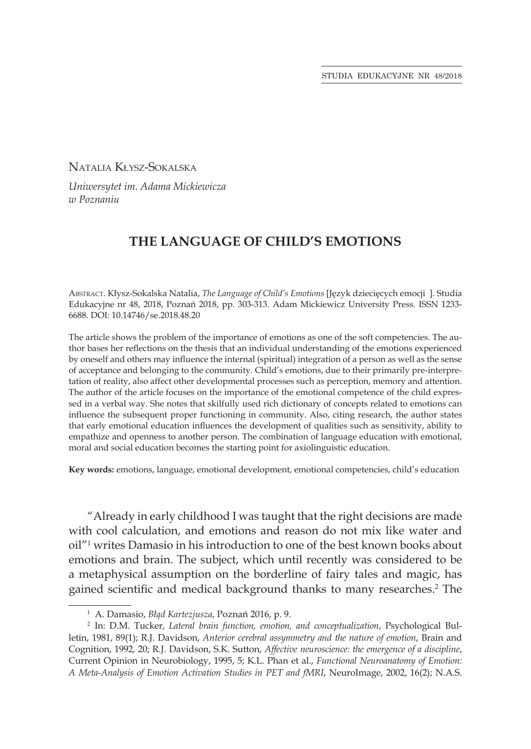Natalia Kłysz-Sokalska

*Uniwersytet im. Adama Mickiewicza w Poznaniu*

# **THE LANGUAGE OF CHILD'S EMOTIONS**

Abstract. Kłysz-Sokalska Natalia, *The Language of Child's Emotions* [Język dziecięcych emocji ]. Studia Edukacyjne nr 48, 2018, Poznań 2018, pp. 303-313. Adam Mickiewicz University Press. ISSN 1233- 6688. DOI: 10.14746/se.2018.48.20

The article shows the problem of the importance of emotions as one of the soft competencies. The author bases her reflections on the thesis that an individual understanding of the emotions experienced by oneself and others may influence the internal (spiritual) integration of a person as well as the sense of acceptance and belonging to the community. Child's emotions, due to their primarily pre-interpretation of reality, also affect other developmental processes such as perception, memory and attention. The author of the article focuses on the importance of the emotional competence of the child expressed in a verbal way. She notes that skilfully used rich dictionary of concepts related to emotions can influence the subsequent proper functioning in community. Also, citing research, the author states that early emotional education influences the development of qualities such as sensitivity, ability to empathize and openness to another person. The combination of language education with emotional, moral and social education becomes the starting point for axiolinguistic education.

**Key words:** emotions, language, emotional development, emotional competencies, child's education

"Already in early childhood I was taught that the right decisions are made with cool calculation, and emotions and reason do not mix like water and oil"1 writes Damasio in his introduction to one of the best known books about emotions and brain. The subject, which until recently was considered to be a metaphysical assumption on the borderline of fairy tales and magic, has gained scientific and medical background thanks to many researches.<sup>2</sup> The

<sup>1</sup> A. Damasio, *Błąd Kartezjusza*, Poznań 2016, p. 9.

<sup>2</sup> In: D.M. Tucker, *Lateral brain function, emotion, and conceptualization*, Psychological Bulletin, 1981, 89(1); R.J. Davidson, *Anterior cerebral assymmetry and the nature of emotion*, Brain and Cognition, 1992, 20; R.J. Davidson, S.K. Sutton, *Affective neuroscience: the emergence of a discipline*, Current Opinion in Neurobiology, 1995, 5; K.L. Phan et al., *Functional Neuroanatomy of Emotion: A Meta-Analysis of Emotion Activation Studies in PET and fMRI*, NeuroImage, 2002, 16(2); N.A.S.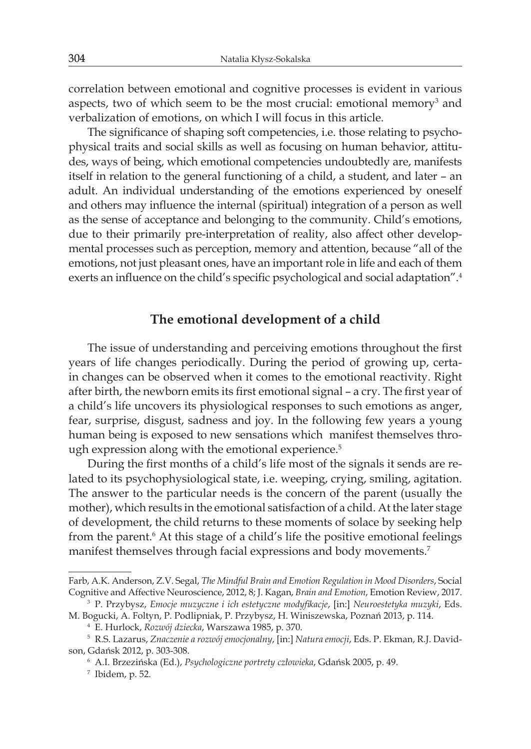correlation between emotional and cognitive processes is evident in various aspects, two of which seem to be the most crucial: emotional memory<sup>3</sup> and verbalization of emotions, on which I will focus in this article.

The significance of shaping soft competencies, i.e. those relating to psychophysical traits and social skills as well as focusing on human behavior, attitudes, ways of being, which emotional competencies undoubtedly are, manifests itself in relation to the general functioning of a child, a student, and later – an adult. An individual understanding of the emotions experienced by oneself and others may influence the internal (spiritual) integration of a person as well as the sense of acceptance and belonging to the community. Child's emotions, due to their primarily pre-interpretation of reality, also affect other developmental processes such as perception, memory and attention, because "all of the emotions, not just pleasant ones, have an important role in life and each of them exerts an influence on the child's specific psychological and social adaptation".<sup>4</sup>

### **The emotional development of a child**

The issue of understanding and perceiving emotions throughout the first years of life changes periodically. During the period of growing up, certain changes can be observed when it comes to the emotional reactivity. Right after birth, the newborn emits its first emotional signal – a cry. The first year of a child's life uncovers its physiological responses to such emotions as anger, fear, surprise, disgust, sadness and joy. In the following few years a young human being is exposed to new sensations which manifest themselves through expression along with the emotional experience.<sup>5</sup>

During the first months of a child's life most of the signals it sends are related to its psychophysiological state, i.e. weeping, crying, smiling, agitation. The answer to the particular needs is the concern of the parent (usually the mother), which results in the emotional satisfaction of a child. At the later stage of development, the child returns to these moments of solace by seeking help from the parent.<sup>6</sup> At this stage of a child's life the positive emotional feelings manifest themselves through facial expressions and body movements.<sup>7</sup>

Farb, A.K. Anderson, Z.V. Segal, *The Mindful Brain and Emotion Regulation in Mood Disorders*, Social Cognitive and Affective Neuroscience, 2012, 8; J. Kagan, *Brain and Emotion*, Emotion Review, 2017.

<sup>3</sup> P. Przybysz, *Emocje muzyczne i ich estetyczne modyfikacje*, [in:] *Neuroestetyka muzyki*, Eds. M. Bogucki, A. Foltyn, P. Podlipniak, P. Przybysz, H. Winiszewska, Poznań 2013, p. 114.

<sup>4</sup> E. Hurlock, *Rozwój dziecka*, Warszawa 1985, p. 370.

<sup>5</sup> R.S. Lazarus, *Znaczenie a rozwój emocjonalny*, [in:] *Natura emocji*, Eds. P. Ekman, R.J. Davidson, Gdańsk 2012, p. 303-308.

<sup>6</sup> A.I. Brzezińska (Ed.), *Psychologiczne portrety człowieka*, Gdańsk 2005, p. 49.

<sup>7</sup> Ibidem, p. 52.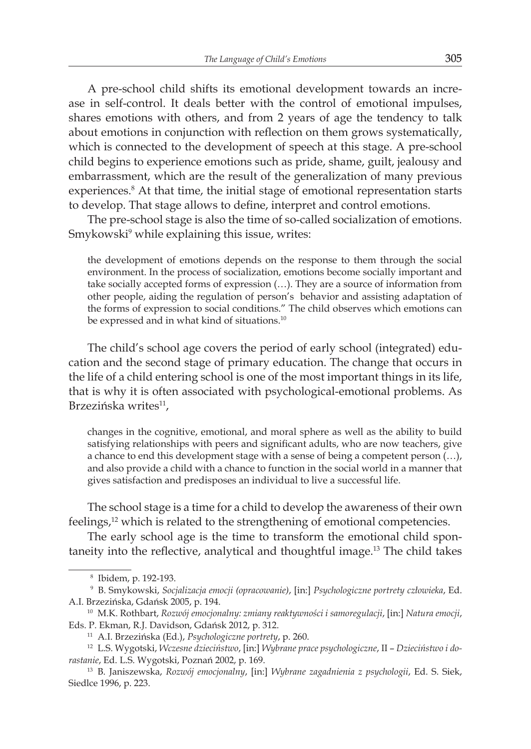A pre-school child shifts its emotional development towards an increase in self-control. It deals better with the control of emotional impulses, shares emotions with others, and from 2 years of age the tendency to talk about emotions in conjunction with reflection on them grows systematically, which is connected to the development of speech at this stage. A pre-school child begins to experience emotions such as pride, shame, guilt, jealousy and embarrassment, which are the result of the generalization of many previous experiences.<sup>8</sup> At that time, the initial stage of emotional representation starts to develop. That stage allows to define, interpret and control emotions.

The pre-school stage is also the time of so-called socialization of emotions. Smykowski $^{\rm 9}$  while explaining this issue, writes:

the development of emotions depends on the response to them through the social environment. In the process of socialization, emotions become socially important and take socially accepted forms of expression (…). They are a source of information from other people, aiding the regulation of person's behavior and assisting adaptation of the forms of expression to social conditions." The child observes which emotions can be expressed and in what kind of situations.<sup>10</sup>

The child's school age covers the period of early school (integrated) education and the second stage of primary education. The change that occurs in the life of a child entering school is one of the most important things in its life, that is why it is often associated with psychological-emotional problems. As Brzezińska writes<sup>11</sup>,

changes in the cognitive, emotional, and moral sphere as well as the ability to build satisfying relationships with peers and significant adults, who are now teachers, give a chance to end this development stage with a sense of being a competent person (…), and also provide a child with a chance to function in the social world in a manner that gives satisfaction and predisposes an individual to live a successful life.

The school stage is a time for a child to develop the awareness of their own feelings,<sup>12</sup> which is related to the strengthening of emotional competencies.

The early school age is the time to transform the emotional child spontaneity into the reflective, analytical and thoughtful image.13 The child takes

<sup>8</sup> Ibidem, p. 192-193.

<sup>9</sup> B. Smykowski, *Socjalizacja emocji (opracowanie)*, [in:] *Psychologiczne portrety człowieka*, Ed. A.I. Brzezińska, Gdańsk 2005, p. 194.

<sup>10</sup> M.K. Rothbart, *Rozwój emocjonalny: zmiany reaktywności i samoregulacji*, [in:] *Natura emocji*, Eds. P. Ekman, R.J. Davidson, Gdańsk 2012, p. 312.

<sup>11</sup> A.I. Brzezińska (Ed.), *Psychologiczne portrety*, p. 260.

<sup>12</sup> L.S. Wygotski, *Wczesne dzieciństwo*, [in:] *Wybrane prace psychologiczne*, II – *Dzieciństwo i dorastanie*, Ed. L.S. Wygotski, Poznań 2002, p. 169.

<sup>13</sup> B. Janiszewska, *Rozwój emocjonalny*, [in:] *Wybrane zagadnienia z psychologii*, Ed. S. Siek, Siedlce 1996, p. 223.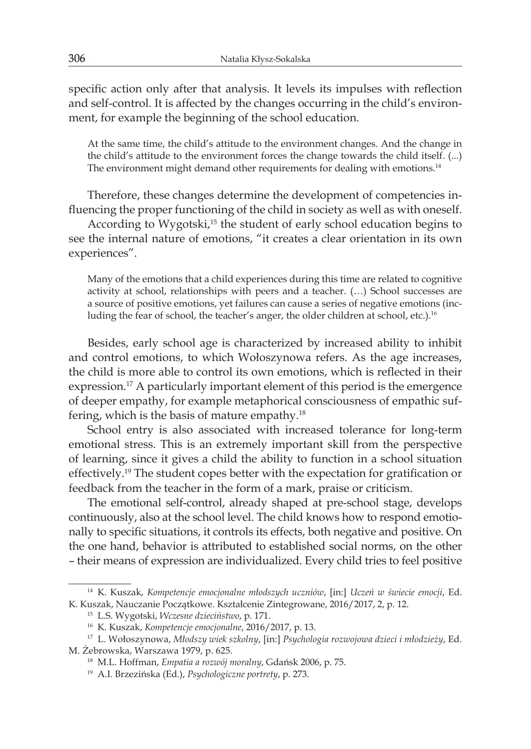specific action only after that analysis. It levels its impulses with reflection and self-control. It is affected by the changes occurring in the child's environment, for example the beginning of the school education.

At the same time, the child's attitude to the environment changes. And the change in the child's attitude to the environment forces the change towards the child itself. (...) The environment might demand other requirements for dealing with emotions.<sup>14</sup>

Therefore, these changes determine the development of competencies influencing the proper functioning of the child in society as well as with oneself.

According to Wygotski,<sup>15</sup> the student of early school education begins to see the internal nature of emotions, "it creates a clear orientation in its own experiences".

Many of the emotions that a child experiences during this time are related to cognitive activity at school, relationships with peers and a teacher. (…) School successes are a source of positive emotions, yet failures can cause a series of negative emotions (including the fear of school, the teacher's anger, the older children at school, etc.).<sup>16</sup>

Besides, early school age is characterized by increased ability to inhibit and control emotions, to which Wołoszynowa refers. As the age increases, the child is more able to control its own emotions, which is reflected in their expression.17 A particularly important element of this period is the emergence of deeper empathy, for example metaphorical consciousness of empathic suffering, which is the basis of mature empathy.18

School entry is also associated with increased tolerance for long-term emotional stress. This is an extremely important skill from the perspective of learning, since it gives a child the ability to function in a school situation effectively.19 The student copes better with the expectation for gratification or feedback from the teacher in the form of a mark, praise or criticism.

The emotional self-control, already shaped at pre-school stage, develops continuously, also at the school level. The child knows how to respond emotionally to specific situations, it controls its effects, both negative and positive. On the one hand, behavior is attributed to established social norms, on the other – their means of expression are individualized. Every child tries to feel positive

<sup>14</sup> K. Kuszak, *Kompetencje emocjonalne młodszych uczniów*, [in:] *Uczeń w świecie emocji*, Ed. K. Kuszak, Nauczanie Początkowe. Kształcenie Zintegrowane, 2016/2017, 2, p. 12.

<sup>15</sup> L.S. Wygotski, *Wczesne dzieciństwo*, p. 171.

<sup>16</sup> K. Kuszak, *Kompetencje emocjonalne*, 2016/2017, p. 13.

<sup>17</sup> L. Wołoszynowa, *Młodszy wiek szkolny*, [in:] *Psychologia rozwojowa dzieci i młodzieży*, Ed. M. Żebrowska, Warszawa 1979, p. 625.

<sup>18</sup> M.L. Hoffman, *Empatia a rozwój moralny*, Gdańsk 2006, p. 75.

<sup>19</sup> A.I. Brzezińska (Ed.), *Psychologiczne portrety*, p. 273.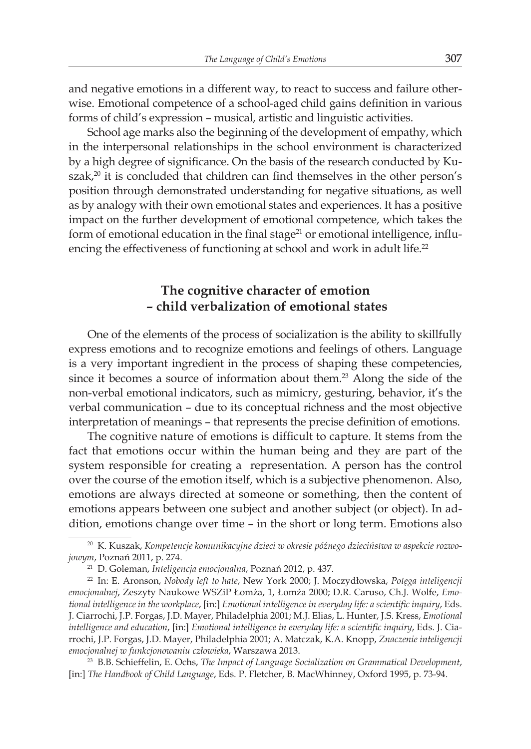and negative emotions in a different way, to react to success and failure otherwise. Emotional competence of a school-aged child gains definition in various forms of child's expression – musical, artistic and linguistic activities.

School age marks also the beginning of the development of empathy, which in the interpersonal relationships in the school environment is characterized by a high degree of significance. On the basis of the research conducted by Kuszak, $20$  it is concluded that children can find themselves in the other person's position through demonstrated understanding for negative situations, as well as by analogy with their own emotional states and experiences. It has a positive impact on the further development of emotional competence, which takes the form of emotional education in the final stage $^{21}$  or emotional intelligence, influencing the effectiveness of functioning at school and work in adult life.<sup>22</sup>

# **The cognitive character of emotion – child verbalization of emotional states**

One of the elements of the process of socialization is the ability to skillfully express emotions and to recognize emotions and feelings of others. Language is a very important ingredient in the process of shaping these competencies, since it becomes a source of information about them.<sup>23</sup> Along the side of the non-verbal emotional indicators, such as mimicry, gesturing, behavior, it's the verbal communication – due to its conceptual richness and the most objective interpretation of meanings – that represents the precise definition of emotions.

The cognitive nature of emotions is difficult to capture. It stems from the fact that emotions occur within the human being and they are part of the system responsible for creating a representation. A person has the control over the course of the emotion itself, which is a subjective phenomenon. Also, emotions are always directed at someone or something, then the content of emotions appears between one subject and another subject (or object). In addition, emotions change over time – in the short or long term. Emotions also

<sup>20</sup> K. Kuszak, *Kompetencje komunikacyjne dzieci w okresie późnego dzieciństwa w aspekcie rozwojowym*, Poznań 2011, p. 274.

<sup>21</sup> D. Goleman, *Inteligencja emocjonalna*, Poznań 2012, p. 437.

<sup>22</sup> In: E. Aronson, *Nobody left to hate*, New York 2000; J. Moczydłowska, *Potęga inteligencji emocjonalnej*, Zeszyty Naukowe WSZiP Łomża, 1, Łomża 2000; D.R. Caruso, Ch.J. Wolfe, *Emotional intelligence in the workplace*, [in:] *Emotional intelligence in everyday life: a scientific inquiry*, Eds. J. Ciarrochi, J.P. Forgas, J.D. Mayer, Philadelphia 2001; M.J. Elias, L. Hunter, J.S. Kress, *Emotional intelligence and education*, [in:] *Emotional intelligence in everyday life: a scientific inquiry*, Eds. J. Ciarrochi, J.P. Forgas, J.D. Mayer, Philadelphia 2001; A. Matczak, K.A. Knopp, *Znaczenie inteligencji emocjonalnej w funkcjonowaniu człowieka*, Warszawa 2013.

<sup>23</sup> B.B. Schieffelin, E. Ochs, *The Impact of Language Socialization on Grammatical Development*, [in:] *The Handbook of Child Language*, Eds. P. Fletcher, B. MacWhinney, Oxford 1995, p. 73-94.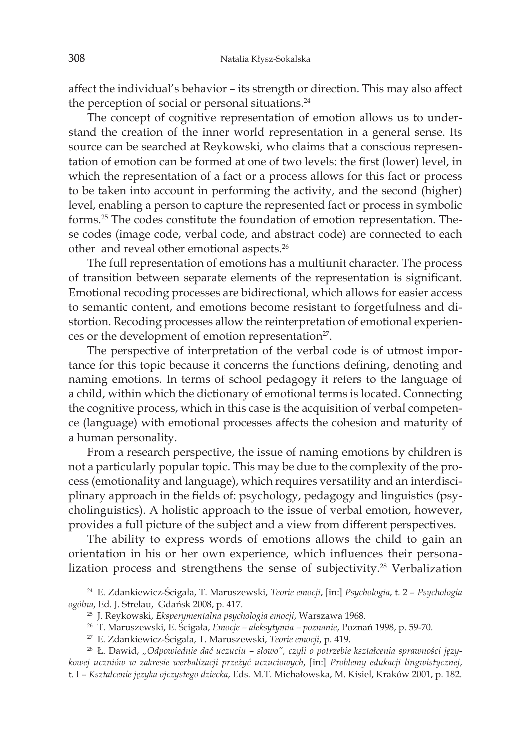affect the individual's behavior – its strength or direction. This may also affect the perception of social or personal situations.<sup>24</sup>

The concept of cognitive representation of emotion allows us to understand the creation of the inner world representation in a general sense. Its source can be searched at Reykowski, who claims that a conscious representation of emotion can be formed at one of two levels: the first (lower) level, in which the representation of a fact or a process allows for this fact or process to be taken into account in performing the activity, and the second (higher) level, enabling a person to capture the represented fact or process in symbolic forms.25 The codes constitute the foundation of emotion representation. These codes (image code, verbal code, and abstract code) are connected to each other and reveal other emotional aspects.26

The full representation of emotions has a multiunit character. The process of transition between separate elements of the representation is significant. Emotional recoding processes are bidirectional, which allows for easier access to semantic content, and emotions become resistant to forgetfulness and distortion. Recoding processes allow the reinterpretation of emotional experiences or the development of emotion representation<sup>27</sup>.

The perspective of interpretation of the verbal code is of utmost importance for this topic because it concerns the functions defining, denoting and naming emotions. In terms of school pedagogy it refers to the language of a child, within which the dictionary of emotional terms is located. Connecting the cognitive process, which in this case is the acquisition of verbal competence (language) with emotional processes affects the cohesion and maturity of a human personality.

From a research perspective, the issue of naming emotions by children is not a particularly popular topic. This may be due to the complexity of the process (emotionality and language), which requires versatility and an interdisciplinary approach in the fields of: psychology, pedagogy and linguistics (psycholinguistics). A holistic approach to the issue of verbal emotion, however, provides a full picture of the subject and a view from different perspectives.

The ability to express words of emotions allows the child to gain an orientation in his or her own experience, which influences their personalization process and strengthens the sense of subjectivity.<sup>28</sup> Verbalization

<sup>24</sup> E. Zdankiewicz-Ścigała, T. Maruszewski, *Teorie emocji*, [in:] *Psychologia*, t. 2 – *Psychologia ogólna*, Ed. J. Strelau, Gdańsk 2008, p. 417.

<sup>25</sup> J. Reykowski, *Eksperymentalna psychologia emocji*, Warszawa 1968.

<sup>26</sup> T. Maruszewski, E. Ścigała, *Emocje – aleksytymia – poznanie*, Poznań 1998, p. 59-70.

<sup>27</sup> E. Zdankiewicz-Ścigała, T. Maruszewski, *Teorie emocji*, p. 419.

<sup>28</sup> Ł. Dawid, *"Odpowiednie dać uczuciu – słowo", czyli o potrzebie kształcenia sprawności językowej uczniów w zakresie werbalizacji przeżyć uczuciowych*, [in:] *Problemy edukacji lingwistycznej*, t. I – *Kształcenie języka ojczystego dziecka*, Eds. M.T. Michałowska, M. Kisiel, Kraków 2001, p. 182.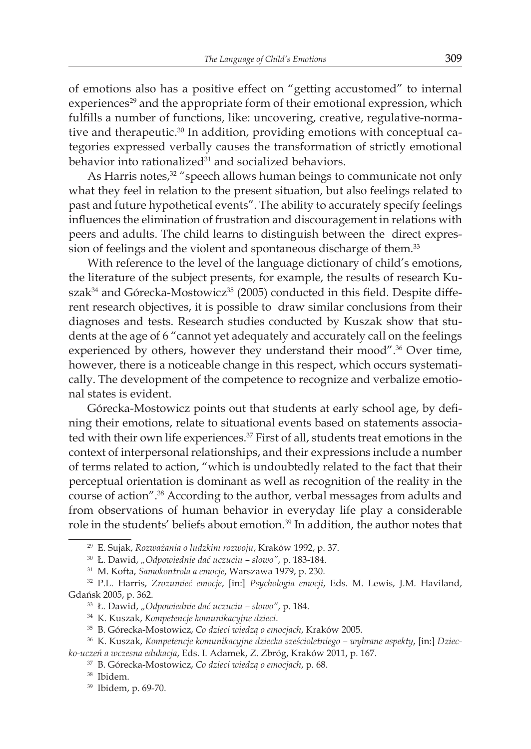of emotions also has a positive effect on "getting accustomed" to internal experiences<sup>29</sup> and the appropriate form of their emotional expression, which fulfills a number of functions, like: uncovering, creative, regulative-normative and therapeutic.30 In addition, providing emotions with conceptual categories expressed verbally causes the transformation of strictly emotional behavior into rationalized<sup>31</sup> and socialized behaviors.

As Harris notes, $32$  "speech allows human beings to communicate not only what they feel in relation to the present situation, but also feelings related to past and future hypothetical events". The ability to accurately specify feelings influences the elimination of frustration and discouragement in relations with peers and adults. The child learns to distinguish between the direct expression of feelings and the violent and spontaneous discharge of them.<sup>33</sup>

With reference to the level of the language dictionary of child's emotions, the literature of the subject presents, for example, the results of research Ku $szak<sup>34</sup>$  and Górecka-Mostowicz<sup>35</sup> (2005) conducted in this field. Despite different research objectives, it is possible to draw similar conclusions from their diagnoses and tests. Research studies conducted by Kuszak show that students at the age of 6 "cannot yet adequately and accurately call on the feelings experienced by others, however they understand their mood".<sup>36</sup> Over time, however, there is a noticeable change in this respect, which occurs systematically. The development of the competence to recognize and verbalize emotional states is evident.

Górecka-Mostowicz points out that students at early school age, by defining their emotions, relate to situational events based on statements associated with their own life experiences.<sup>37</sup> First of all, students treat emotions in the context of interpersonal relationships, and their expressions include a number of terms related to action, "which is undoubtedly related to the fact that their perceptual orientation is dominant as well as recognition of the reality in the course of action".38 According to the author, verbal messages from adults and from observations of human behavior in everyday life play a considerable role in the students' beliefs about emotion.<sup>39</sup> In addition, the author notes that

<sup>29</sup> E. Sujak, *Rozważania o ludzkim rozwoju*, Kraków 1992, p. 37.

<sup>30</sup> Ł. Dawid, *"Odpowiednie dać uczuciu – słowo"*, p. 183-184.

<sup>31</sup> M. Kofta, *Samokontrola a emocje*, Warszawa 1979, p. 230.

<sup>32</sup> P.L. Harris, *Zrozumieć emocje*, [in:] *Psychologia emocji*, Eds. M. Lewis, J.M. Haviland, Gdańsk 2005, p. 362.

<sup>33</sup> Ł. Dawid, *"Odpowiednie dać uczuciu – słowo"*, p. 184.

<sup>34</sup> K. Kuszak, *Kompetencje komunikacyjne dzieci*.

<sup>35</sup> B. Górecka-Mostowicz, *Co dzieci wiedzą o emocjach*, Kraków 2005.

<sup>36</sup> K. Kuszak, *Kompetencje komunikacyjne dziecka sześcioletniego – wybrane aspekty*, [in:] *Dziecko-uczeń a wczesna edukacja*, Eds. I. Adamek, Z. Zbróg, Kraków 2011, p. 167.

<sup>37</sup> B. Górecka-Mostowicz, *Co dzieci wiedzą o emocjach*, p. 68.

<sup>38</sup> Ibidem.

<sup>39</sup> Ibidem, p. 69-70.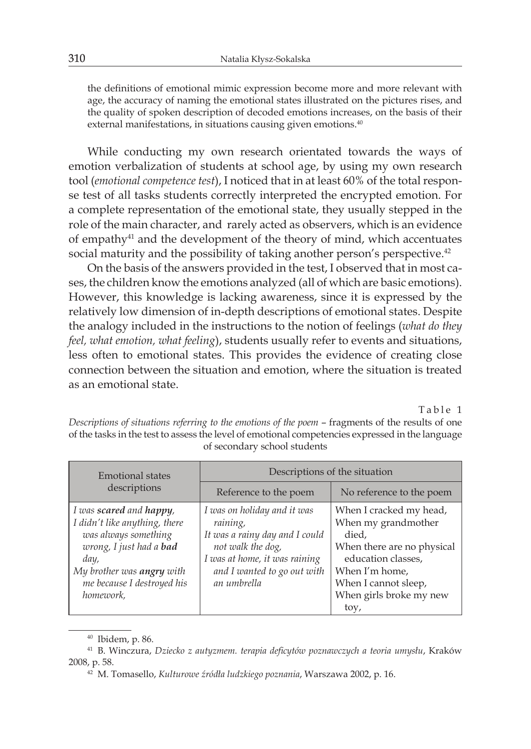the definitions of emotional mimic expression become more and more relevant with age, the accuracy of naming the emotional states illustrated on the pictures rises, and the quality of spoken description of decoded emotions increases, on the basis of their external manifestations, in situations causing given emotions.<sup>40</sup>

While conducting my own research orientated towards the ways of emotion verbalization of students at school age, by using my own research tool (*emotional competence test*), I noticed that in at least 60% of the total response test of all tasks students correctly interpreted the encrypted emotion. For a complete representation of the emotional state, they usually stepped in the role of the main character, and rarely acted as observers, which is an evidence of empathy<sup>41</sup> and the development of the theory of mind, which accentuates social maturity and the possibility of taking another person's perspective.<sup>42</sup>

On the basis of the answers provided in the test, I observed that in most cases, the children know the emotions analyzed (all of which are basic emotions). However, this knowledge is lacking awareness, since it is expressed by the relatively low dimension of in-depth descriptions of emotional states. Despite the analogy included in the instructions to the notion of feelings (*what do they feel, what emotion, what feeling*), students usually refer to events and situations, less often to emotional states. This provides the evidence of creating close connection between the situation and emotion, where the situation is treated as an emotional state.

Table 1

*Descriptions of situations referring to the emotions of the poem* – fragments of the results of one of the tasks in the test to assess the level of emotional competencies expressed in the language of secondary school students

| <b>Emotional states</b><br>descriptions                                                                                                                                                                    | Descriptions of the situation                                                                                                                                                 |                                                                                                                                                                                          |
|------------------------------------------------------------------------------------------------------------------------------------------------------------------------------------------------------------|-------------------------------------------------------------------------------------------------------------------------------------------------------------------------------|------------------------------------------------------------------------------------------------------------------------------------------------------------------------------------------|
|                                                                                                                                                                                                            | Reference to the poem                                                                                                                                                         | No reference to the poem                                                                                                                                                                 |
| I was <b>scared</b> and <b>happy</b> ,<br>I didn't like anything, there<br>was always something<br>wrong, I just had a bad<br>day,<br>My brother was angry with<br>me because I destroyed his<br>homework, | I was on holiday and it was<br>raining,<br>It was a rainy day and I could<br>not walk the dog,<br>I was at home, it was raining<br>and I wanted to go out with<br>an umbrella | When I cracked my head,<br>When my grandmother<br>died,<br>When there are no physical<br>education classes,<br>When I'm home,<br>When I cannot sleep,<br>When girls broke my new<br>toy, |

<sup>40</sup> Ibidem, p. 86.

<sup>41</sup> B. Winczura, *Dziecko z autyzmem. terapia deficytów poznawczych a teoria umysłu*, Kraków 2008, p. 58.

<sup>42</sup> M. Tomasello, *Kulturowe źródła ludzkiego poznania*, Warszawa 2002, p. 16.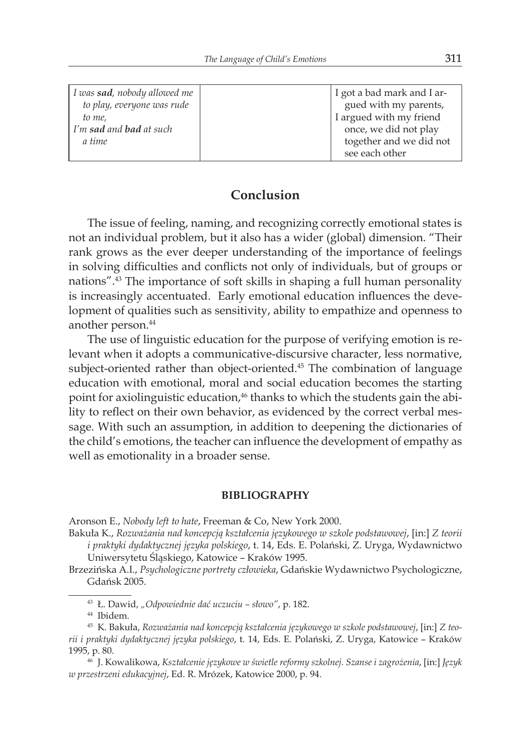| I was sad, nobody allowed me                              | I got a bad mark and I ar-                                                                    |
|-----------------------------------------------------------|-----------------------------------------------------------------------------------------------|
| to play, everyone was rude                                | gued with my parents,                                                                         |
| to me,<br>I'm <b>sad</b> and <b>bad</b> at such<br>a time | I argued with my friend<br>once, we did not play<br>together and we did not<br>see each other |

## **Conclusion**

The issue of feeling, naming, and recognizing correctly emotional states is not an individual problem, but it also has a wider (global) dimension. "Their rank grows as the ever deeper understanding of the importance of feelings in solving difficulties and conflicts not only of individuals, but of groups or nations".43 The importance of soft skills in shaping a full human personality is increasingly accentuated. Early emotional education influences the development of qualities such as sensitivity, ability to empathize and openness to another person.<sup>44</sup>

The use of linguistic education for the purpose of verifying emotion is relevant when it adopts a communicative-discursive character, less normative, subject-oriented rather than object-oriented. $45$  The combination of language education with emotional, moral and social education becomes the starting point for axiolinguistic education,<sup>46</sup> thanks to which the students gain the ability to reflect on their own behavior, as evidenced by the correct verbal message. With such an assumption, in addition to deepening the dictionaries of the child's emotions, the teacher can influence the development of empathy as well as emotionality in a broader sense.

#### **BIBLIOGRAPHY**

Aronson E., *Nobody left to hate*, Freeman & Co, New York 2000.

- Bakuła K., *Rozważania nad koncepcją kształcenia językowego w szkole podstawowej*, [in:] *Z teorii i praktyki dydaktycznej języka polskiego*, t. 14, Eds. E. Polański, Z. Uryga, Wydawnictwo Uniwersytetu Śląskiego, Katowice – Kraków 1995.
- Brzezińska A.I., *Psychologiczne portrety człowieka*, Gdańskie Wydawnictwo Psychologiczne, Gdańsk 2005.
	- <sup>43</sup> Ł. Dawid, *"Odpowiednie dać uczuciu słowo"*, p. 182.

<sup>44</sup> Ibidem.

<sup>45</sup> K. Bakuła, *Rozważania nad koncepcją kształcenia językowego w szkole podstawowej*, [in:] *Z teorii i praktyki dydaktycznej języka polskiego*, t. 14, Eds. E. Polański, Z. Uryga, Katowice – Kraków 1995, p. 80.

<sup>46</sup> J. Kowalikowa, *Kształcenie językowe w świetle reformy szkolnej. Szanse i zagrożenia*, [in:] *Język w przestrzeni edukacyjnej*, Ed. R. Mrózek, Katowice 2000, p. 94.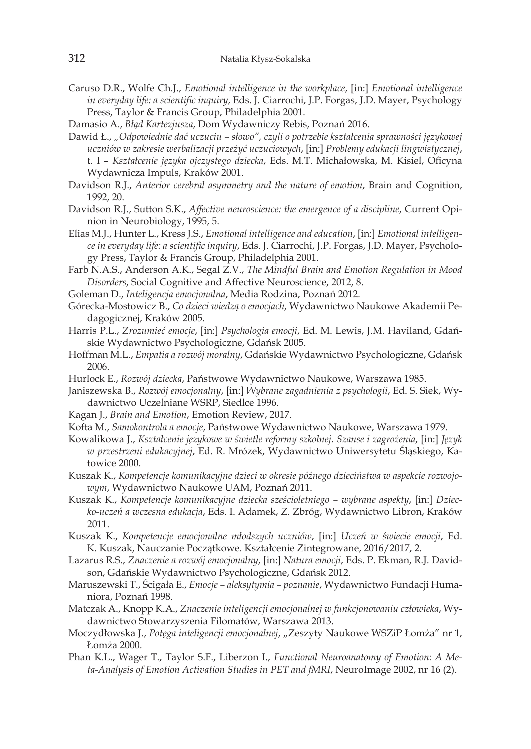- Caruso D.R., Wolfe Ch.J., *Emotional intelligence in the workplace*, [in:] *Emotional intelligence in everyday life: a scientific inquiry*, Eds. J. Ciarrochi, J.P. Forgas, J.D. Mayer, Psychology Press, Taylor & Francis Group, Philadelphia 2001.
- Damasio A., *Błąd Kartezjusza*, Dom Wydawniczy Rebis, Poznań 2016.
- Dawid Ł., *"Odpowiednie dać uczuciu słowo", czyli o potrzebie kształcenia sprawności językowej uczniów w zakresie werbalizacji przeżyć uczuciowych*, [in:] *Problemy edukacji lingwistycznej*, t. I – *Kształcenie języka ojczystego dziecka*, Eds. M.T. Michałowska, M. Kisiel, Oficyna Wydawnicza Impuls, Kraków 2001.
- Davidson R.J., *Anterior cerebral asymmetry and the nature of emotion*, Brain and Cognition, 1992, 20.
- Davidson R.J., Sutton S.K., *Affective neuroscience: the emergence of a discipline*, Current Opinion in Neurobiology, 1995, 5.
- Elias M.J., Hunter L., Kress J.S., *Emotional intelligence and education*, [in:] *Emotional intelligence in everyday life: a scientific inquiry*, Eds. J. Ciarrochi, J.P. Forgas, J.D. Mayer, Psychology Press, Taylor & Francis Group, Philadelphia 2001.
- Farb N.A.S., Anderson A.K., Segal Z.V., *The Mindful Brain and Emotion Regulation in Mood Disorders*, Social Cognitive and Affective Neuroscience, 2012, 8.
- Goleman D., *Inteligencja emocjonalna*, Media Rodzina, Poznań 2012.
- Górecka-Mostowicz B., *Co dzieci wiedzą o emocjach*, Wydawnictwo Naukowe Akademii Pedagogicznej, Kraków 2005.
- Harris P.L., *Zrozumieć emocje*, [in:] *Psychologia emocji*, Ed. M. Lewis, J.M. Haviland, Gdańskie Wydawnictwo Psychologiczne, Gdańsk 2005.
- Hoffman M.L., *Empatia a rozwój moralny*, Gdańskie Wydawnictwo Psychologiczne, Gdańsk 2006.
- Hurlock E., *Rozwój dziecka*, Państwowe Wydawnictwo Naukowe, Warszawa 1985.
- Janiszewska B., *Rozwój emocjonalny*, [in:] *Wybrane zagadnienia z psychologii*, Ed. S. Siek, Wydawnictwo Uczelniane WSRP, Siedlce 1996.
- Kagan J., *Brain and Emotion*, Emotion Review, 2017.
- Kofta M., *Samokontrola a emocje*, Państwowe Wydawnictwo Naukowe, Warszawa 1979.
- Kowalikowa J., *Kształcenie językowe w świetle reformy szkolnej. Szanse i zagrożenia*, [in:] *Język w przestrzeni edukacyjnej*, Ed. R. Mrózek, Wydawnictwo Uniwersytetu Śląskiego, Katowice 2000.
- Kuszak K., *Kompetencje komunikacyjne dzieci w okresie późnego dzieciństwa w aspekcie rozwojowym*, Wydawnictwo Naukowe UAM, Poznań 2011.
- Kuszak K., *Kompetencje komunikacyjne dziecka sześcioletniego wybrane aspekty*, [in:] *Dziecko-uczeń a wczesna edukacja*, Eds. I. Adamek, Z. Zbróg, Wydawnictwo Libron, Kraków 2011.
- Kuszak K., *Kompetencje emocjonalne młodszych uczniów*, [in:] *Uczeń w świecie emocji*, Ed. K. Kuszak, Nauczanie Początkowe. Kształcenie Zintegrowane, 2016/2017, 2.
- Lazarus R.S., *Znaczenie a rozwój emocjonalny*, [in:] *Natura emocji*, Eds. P. Ekman, R.J. Davidson, Gdańskie Wydawnictwo Psychologiczne, Gdańsk 2012.
- Maruszewski T., Ścigała E., *Emocje aleksytymia poznanie*, Wydawnictwo Fundacji Humaniora, Poznań 1998.
- Matczak A., Knopp K.A., *Znaczenie inteligencji emocjonalnej w funkcjonowaniu człowieka*, Wydawnictwo Stowarzyszenia Filomatów, Warszawa 2013.
- Moczydłowska J., *Potęga inteligencji emocjonalnej*, "Zeszyty Naukowe WSZiP Łomża" nr 1, Łomża 2000.
- Phan K.L., Wager T., Taylor S.F., Liberzon I., *Functional Neuroanatomy of Emotion: A Meta-Analysis of Emotion Activation Studies in PET and fMRI*, NeuroImage 2002, nr 16 (2).